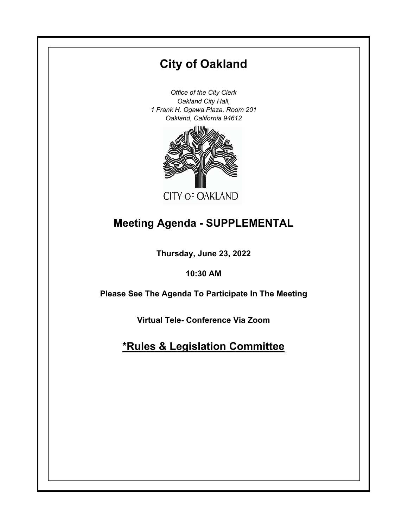# **City of Oakland**

*Office of the City Clerk Oakland City Hall, 1 Frank H. Ogawa Plaza, Room 201 Oakland, California 94612*



# **Meeting Agenda - SUPPLEMENTAL**

**Thursday, June 23, 2022**

**10:30 AM**

**Please See The Agenda To Participate In The Meeting**

**Virtual Tele- Conference Via Zoom**

**\*Rules & Legislation Committee**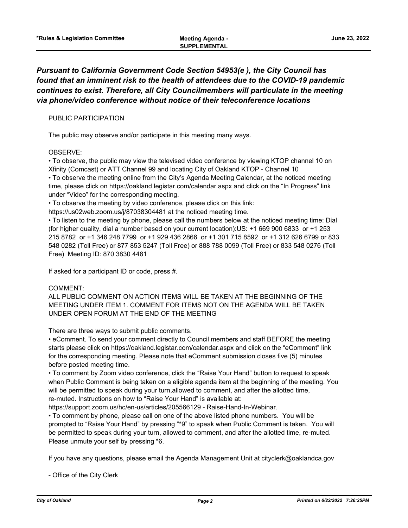# *Pursuant to California Government Code Section 54953(e ), the City Council has found that an imminent risk to the health of attendees due to the COVID-19 pandemic continues to exist. Therefore, all City Councilmembers will particulate in the meeting via phone/video conference without notice of their teleconference locations*

## PUBLIC PARTICIPATION

The public may observe and/or participate in this meeting many ways.

## OBSERVE:

• To observe, the public may view the televised video conference by viewing KTOP channel 10 on Xfinity (Comcast) or ATT Channel 99 and locating City of Oakland KTOP - Channel 10 • To observe the meeting online from the City's Agenda Meeting Calendar, at the noticed meeting time, please click on https://oakland.legistar.com/calendar.aspx and click on the "In Progress" link under "Video" for the corresponding meeting.

• To observe the meeting by video conference, please click on this link:

https://us02web.zoom.us/j/87038304481 at the noticed meeting time.

• To listen to the meeting by phone, please call the numbers below at the noticed meeting time: Dial (for higher quality, dial a number based on your current location):US: +1 669 900 6833 or +1 253 215 8782 or +1 346 248 7799 or +1 929 436 2866 or +1 301 715 8592 or +1 312 626 6799 or 833 548 0282 (Toll Free) or 877 853 5247 (Toll Free) or 888 788 0099 (Toll Free) or 833 548 0276 (Toll Free) Meeting ID: 870 3830 4481

If asked for a participant ID or code, press #.

## COMMENT:

ALL PUBLIC COMMENT ON ACTION ITEMS WILL BE TAKEN AT THE BEGINNING OF THE MEETING UNDER ITEM 1. COMMENT FOR ITEMS NOT ON THE AGENDA WILL BE TAKEN UNDER OPEN FORUM AT THE END OF THE MEETING

There are three ways to submit public comments.

• eComment. To send your comment directly to Council members and staff BEFORE the meeting starts please click on https://oakland.legistar.com/calendar.aspx and click on the "eComment" link for the corresponding meeting. Please note that eComment submission closes five (5) minutes before posted meeting time.

• To comment by Zoom video conference, click the "Raise Your Hand" button to request to speak when Public Comment is being taken on a eligible agenda item at the beginning of the meeting. You will be permitted to speak during your turn,allowed to comment, and after the allotted time, re-muted. Instructions on how to "Raise Your Hand" is available at:

https://support.zoom.us/hc/en-us/articles/205566129 - Raise-Hand-In-Webinar.

• To comment by phone, please call on one of the above listed phone numbers. You will be prompted to "Raise Your Hand" by pressing "\*9" to speak when Public Comment is taken. You will be permitted to speak during your turn, allowed to comment, and after the allotted time, re-muted. Please unmute your self by pressing \*6.

If you have any questions, please email the Agenda Management Unit at cityclerk@oaklandca.gov

- Office of the City Clerk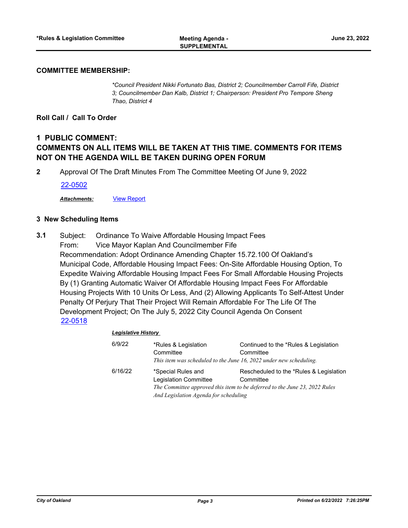#### **COMMITTEE MEMBERSHIP:**

*\*Council President Nikki Fortunato Bas, District 2; Councilmember Carroll Fife, District 3; Councilmember Dan Kalb, District 1; Chairperson: President Pro Tempore Sheng Thao, District 4*

**Roll Call / Call To Order**

# **1 PUBLIC COMMENT: COMMENTS ON ALL ITEMS WILL BE TAKEN AT THIS TIME. COMMENTS FOR ITEMS NOT ON THE AGENDA WILL BE TAKEN DURING OPEN FORUM**

**2** Approval Of The Draft Minutes From The Committee Meeting Of June 9, 2022

[22-0502](http://oakland.legistar.com/gateway.aspx?m=l&id=/matter.aspx?key=33422)

*Attachments:* [View Report](http://oakland.legistar.com/gateway.aspx?M=F&ID=a353cf81-4fff-4028-b977-6231f2c3e3c3.pdf)

### **3 New Scheduling Items**

Subject: Ordinance To Waive Affordable Housing Impact Fees From: Vice Mayor Kaplan And Councilmember Fife Recommendation: Adopt Ordinance Amending Chapter 15.72.100 Of Oakland's Municipal Code, Affordable Housing Impact Fees: On-Site Affordable Housing Option, To Expedite Waiving Affordable Housing Impact Fees For Small Affordable Housing Projects By (1) Granting Automatic Waiver Of Affordable Housing Impact Fees For Affordable Housing Projects With 10 Units Or Less, And (2) Allowing Applicants To Self-Attest Under Penalty Of Perjury That Their Project Will Remain Affordable For The Life Of The Development Project; On The July 5, 2022 City Council Agenda On Consent **3.1** [22-0518](http://oakland.legistar.com/gateway.aspx?m=l&id=/matter.aspx?key=33438)

#### *Legislative History*

| 6/9/22  | *Rules & Legislation<br>Committee<br>This item was scheduled to the June 16, 2022 under new scheduling. | Continued to the *Rules & Legislation<br>Committee                                                                                 |
|---------|---------------------------------------------------------------------------------------------------------|------------------------------------------------------------------------------------------------------------------------------------|
| 6/16/22 | *Special Rules and<br><b>Legislation Committee</b><br>And Legislation Agenda for scheduling             | Rescheduled to the *Rules & Legislation<br>Committee<br>The Committee approved this item to be deferred to the June 23, 2022 Rules |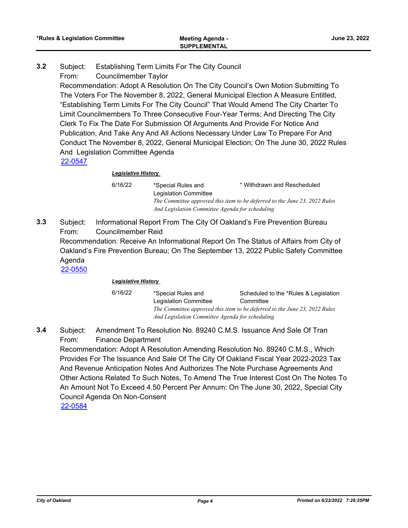- Subject: Establishing Term Limits For The City Council From: Councilmember Taylor **3.2**
	- Recommendation: Adopt A Resolution On The City Council's Own Motion Submitting To The Voters For The November 8, 2022, General Municipal Election A Measure Entitled, "Establishing Term Limits For The City Council" That Would Amend The City Charter To Limit Councilmembers To Three Consecutive Four-Year Terms; And Directing The City Clerk To Fix The Date For Submission Of Arguments And Provide For Notice And Publication, And Take Any And All Actions Necessary Under Law To Prepare For And Conduct The November 8, 2022, General Municipal Election; On The June 30, 2022 Rules And Legislation Committee Agenda [22-0547](http://oakland.legistar.com/gateway.aspx?m=l&id=/matter.aspx?key=33467)

# *Legislative History*

6/16/22 \*Special Rules and Legislation Committee \* Withdrawn and Rescheduled *The Committee approved this item to be deferred to the June 23, 2022 Rules And Legislation Committee Agenda for scheduling*

Subject: Informational Report From The City Of Oakland's Fire Prevention Bureau From: Councilmember Reid Recommendation: Receive An Informational Report On The Status of Affairs from City of Oakland's Fire Prevention Bureau; On The September 13, 2022 Public Safety Committee Agenda **3.3** [22-0550](http://oakland.legistar.com/gateway.aspx?m=l&id=/matter.aspx?key=33470)

## *Legislative History*

6/16/22 \*Special Rules and Legislation Committee Scheduled to the \*Rules & Legislation **Committee** *The Committee approved this item to be deferred to the June 23, 2022 Rules And Legislation Committee Agenda for scheduling*

Subject: Amendment To Resolution No. 89240 C.M.S. Issuance And Sale Of Tran From: Finance Department **3.4**

Recommendation: Adopt A Resolution Amending Resolution No. 89240 C.M.S., Which Provides For The Issuance And Sale Of The City Of Oakland Fiscal Year 2022-2023 Tax And Revenue Anticipation Notes And Authorizes The Note Purchase Agreements And Other Actions Related To Such Notes, To Amend The True Interest Cost On The Notes To An Amount Not To Exceed 4.50 Percent Per Annum: On The June 30, 2022, Special City Council Agenda On Non-Consent [22-0584](http://oakland.legistar.com/gateway.aspx?m=l&id=/matter.aspx?key=33504)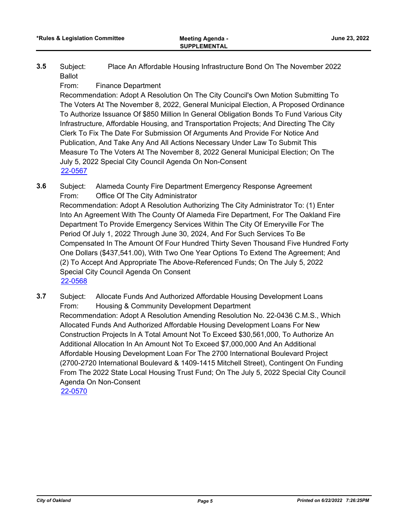Subject: Place An Affordable Housing Infrastructure Bond On The November 2022 Ballot **3.5**

From: Finance Department

Recommendation: Adopt A Resolution On The City Council's Own Motion Submitting To The Voters At The November 8, 2022, General Municipal Election, A Proposed Ordinance To Authorize Issuance Of \$850 Million In General Obligation Bonds To Fund Various City Infrastructure, Affordable Housing, and Transportation Projects; And Directing The City Clerk To Fix The Date For Submission Of Arguments And Provide For Notice And Publication, And Take Any And All Actions Necessary Under Law To Submit This Measure To The Voters At The November 8, 2022 General Municipal Election; On The July 5, 2022 Special City Council Agenda On Non-Consent [22-0567](http://oakland.legistar.com/gateway.aspx?m=l&id=/matter.aspx?key=33487)

- Subject: Alameda County Fire Department Emergency Response Agreement From: Office Of The City Administrator Recommendation: Adopt A Resolution Authorizing The City Administrator To: (1) Enter Into An Agreement With The County Of Alameda Fire Department, For The Oakland Fire Department To Provide Emergency Services Within The City Of Emeryville For The Period Of July 1, 2022 Through June 30, 2024, And For Such Services To Be Compensated In The Amount Of Four Hundred Thirty Seven Thousand Five Hundred Forty One Dollars (\$437,541.00), With Two One Year Options To Extend The Agreement; And (2) To Accept And Appropriate The Above-Referenced Funds; On The July 5, 2022 Special City Council Agenda On Consent **3.6** [22-0568](http://oakland.legistar.com/gateway.aspx?m=l&id=/matter.aspx?key=33488)
- Subject: Allocate Funds And Authorized Affordable Housing Development Loans From: Housing & Community Development Department Recommendation: Adopt A Resolution Amending Resolution No. 22-0436 C.M.S., Which Allocated Funds And Authorized Affordable Housing Development Loans For New Construction Projects In A Total Amount Not To Exceed \$30,561,000, To Authorize An Additional Allocation In An Amount Not To Exceed \$7,000,000 And An Additional Affordable Housing Development Loan For The 2700 International Boulevard Project (2700-2720 International Boulevard & 1409-1415 Mitchell Street), Contingent On Funding From The 2022 State Local Housing Trust Fund; On The July 5, 2022 Special City Council Agenda On Non-Consent **3.7** [22-0570](http://oakland.legistar.com/gateway.aspx?m=l&id=/matter.aspx?key=33490)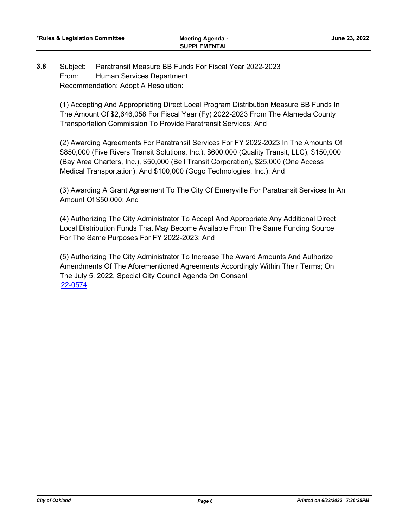#### Subject: Paratransit Measure BB Funds For Fiscal Year 2022-2023 From: Human Services Department Recommendation: Adopt A Resolution: **3.8**

(1) Accepting And Appropriating Direct Local Program Distribution Measure BB Funds In The Amount Of \$2,646,058 For Fiscal Year (Fy) 2022-2023 From The Alameda County Transportation Commission To Provide Paratransit Services; And

(2) Awarding Agreements For Paratransit Services For FY 2022-2023 In The Amounts Of \$850,000 (Five Rivers Transit Solutions, Inc.), \$600,000 (Quality Transit, LLC), \$150,000 (Bay Area Charters, Inc.), \$50,000 (Bell Transit Corporation), \$25,000 (One Access Medical Transportation), And \$100,000 (Gogo Technologies, Inc.); And

(3) Awarding A Grant Agreement To The City Of Emeryville For Paratransit Services In An Amount Of \$50,000; And

(4) Authorizing The City Administrator To Accept And Appropriate Any Additional Direct Local Distribution Funds That May Become Available From The Same Funding Source For The Same Purposes For FY 2022-2023; And

(5) Authorizing The City Administrator To Increase The Award Amounts And Authorize Amendments Of The Aforementioned Agreements Accordingly Within Their Terms; On The July 5, 2022, Special City Council Agenda On Consent [22-0574](http://oakland.legistar.com/gateway.aspx?m=l&id=/matter.aspx?key=33494)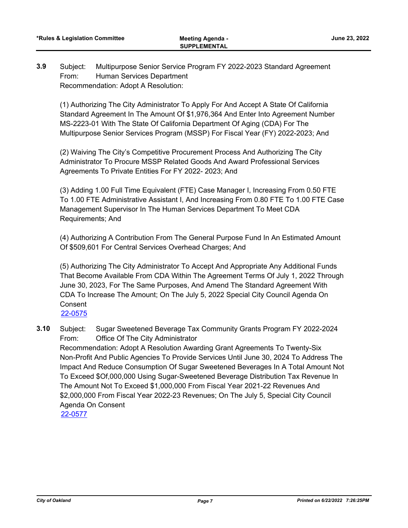Subject: Multipurpose Senior Service Program FY 2022-2023 Standard Agreement From: Human Services Department Recommendation: Adopt A Resolution: **3.9**

(1) Authorizing The City Administrator To Apply For And Accept A State Of California Standard Agreement In The Amount Of \$1,976,364 And Enter Into Agreement Number MS-2223-01 With The State Of California Department Of Aging (CDA) For The Multipurpose Senior Services Program (MSSP) For Fiscal Year (FY) 2022-2023; And

(2) Waiving The City's Competitive Procurement Process And Authorizing The City Administrator To Procure MSSP Related Goods And Award Professional Services Agreements To Private Entities For FY 2022- 2023; And

(3) Adding 1.00 Full Time Equivalent (FTE) Case Manager I, Increasing From 0.50 FTE To 1.00 FTE Administrative Assistant I, And Increasing From 0.80 FTE To 1.00 FTE Case Management Supervisor In The Human Services Department To Meet CDA Requirements; And

(4) Authorizing A Contribution From The General Purpose Fund In An Estimated Amount Of \$509,601 For Central Services Overhead Charges; And

(5) Authorizing The City Administrator To Accept And Appropriate Any Additional Funds That Become Available From CDA Within The Agreement Terms Of July 1, 2022 Through June 30, 2023, For The Same Purposes, And Amend The Standard Agreement With CDA To Increase The Amount; On The July 5, 2022 Special City Council Agenda On Consent

[22-0575](http://oakland.legistar.com/gateway.aspx?m=l&id=/matter.aspx?key=33495)

Subject: Sugar Sweetened Beverage Tax Community Grants Program FY 2022-2024 From: Office Of The City Administrator Recommendation: Adopt A Resolution Awarding Grant Agreements To Twenty-Six Non-Profit And Public Agencies To Provide Services Until June 30, 2024 To Address The Impact And Reduce Consumption Of Sugar Sweetened Beverages In A Total Amount Not To Exceed \$Of,000,000 Using Sugar-Sweetened Beverage Distribution Tax Revenue In The Amount Not To Exceed \$1,000,000 From Fiscal Year 2021-22 Revenues And \$2,000,000 From Fiscal Year 2022-23 Revenues; On The July 5, Special City Council Agenda On Consent **3.10** [22-0577](http://oakland.legistar.com/gateway.aspx?m=l&id=/matter.aspx?key=33497)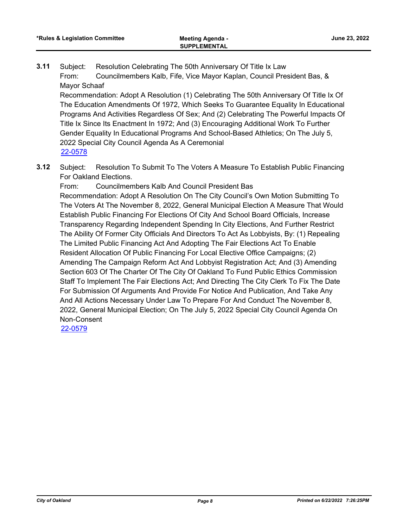Subject: Resolution Celebrating The 50th Anniversary Of Title Ix Law From: Councilmembers Kalb, Fife, Vice Mayor Kaplan, Council President Bas, & Mayor Schaaf **3.11**

Recommendation: Adopt A Resolution (1) Celebrating The 50th Anniversary Of Title Ix Of The Education Amendments Of 1972, Which Seeks To Guarantee Equality In Educational Programs And Activities Regardless Of Sex; And (2) Celebrating The Powerful Impacts Of Title Ix Since Its Enactment In 1972; And (3) Encouraging Additional Work To Further Gender Equality In Educational Programs And School-Based Athletics; On The July 5, 2022 Special City Council Agenda As A Ceremonial [22-0578](http://oakland.legistar.com/gateway.aspx?m=l&id=/matter.aspx?key=33498)

Subject: Resolution To Submit To The Voters A Measure To Establish Public Financing For Oakland Elections. **3.12**

From: Councilmembers Kalb And Council President Bas Recommendation: Adopt A Resolution On The City Council's Own Motion Submitting To The Voters At The November 8, 2022, General Municipal Election A Measure That Would Establish Public Financing For Elections Of City And School Board Officials, Increase Transparency Regarding Independent Spending In City Elections, And Further Restrict The Ability Of Former City Officials And Directors To Act As Lobbyists, By: (1) Repealing The Limited Public Financing Act And Adopting The Fair Elections Act To Enable Resident Allocation Of Public Financing For Local Elective Office Campaigns; (2) Amending The Campaign Reform Act And Lobbyist Registration Act; And (3) Amending Section 603 Of The Charter Of The City Of Oakland To Fund Public Ethics Commission Staff To Implement The Fair Elections Act; And Directing The City Clerk To Fix The Date For Submission Of Arguments And Provide For Notice And Publication, And Take Any And All Actions Necessary Under Law To Prepare For And Conduct The November 8, 2022, General Municipal Election; On The July 5, 2022 Special City Council Agenda On Non-Consent

[22-0579](http://oakland.legistar.com/gateway.aspx?m=l&id=/matter.aspx?key=33499)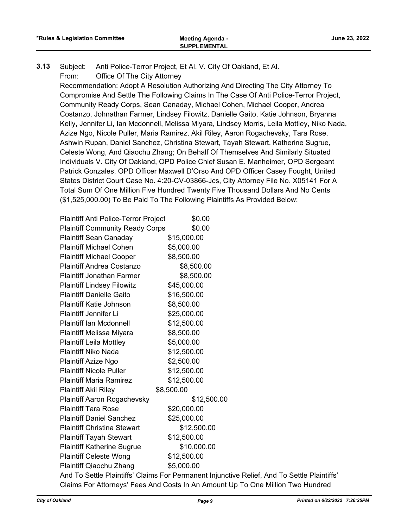Subject: Anti Police-Terror Project, Et Al. V. City Of Oakland, Et Al. From: Office Of The City Attorney **3.13**

Recommendation: Adopt A Resolution Authorizing And Directing The City Attorney To Compromise And Settle The Following Claims In The Case Of Anti Police-Terror Project, Community Ready Corps, Sean Canaday, Michael Cohen, Michael Cooper, Andrea Costanzo, Johnathan Farmer, Lindsey Filowitz, Danielle Gaito, Katie Johnson, Bryanna Kelly, Jennifer Li, Ian Mcdonnell, Melissa Miyara, Lindsey Morris, Leila Mottley, Niko Nada, Azize Ngo, Nicole Puller, Maria Ramirez, Akil Riley, Aaron Rogachevsky, Tara Rose, Ashwin Rupan, Daniel Sanchez, Christina Stewart, Tayah Stewart, Katherine Sugrue, Celeste Wong, And Qiaochu Zhang; On Behalf Of Themselves And Similarly Situated Individuals V. City Of Oakland, OPD Police Chief Susan E. Manheimer, OPD Sergeant Patrick Gonzales, OPD Officer Maxwell D'Orso And OPD Officer Casey Fought, United States District Court Case No. 4:20-CV-03866-Jcs, City Attorney File No. X05141 For A Total Sum Of One Million Five Hundred Twenty Five Thousand Dollars And No Cents (\$1,525,000.00) To Be Paid To The Following Plaintiffs As Provided Below:

| <b>Plaintiff Anti Police-Terror Project</b> | \$0.00                                                                                      |
|---------------------------------------------|---------------------------------------------------------------------------------------------|
| <b>Plaintiff Community Ready Corps</b>      | \$0.00                                                                                      |
| <b>Plaintiff Sean Canaday</b>               | \$15,000.00                                                                                 |
| <b>Plaintiff Michael Cohen</b>              | \$5,000.00                                                                                  |
| <b>Plaintiff Michael Cooper</b>             | \$8,500.00                                                                                  |
| <b>Plaintiff Andrea Costanzo</b>            | \$8,500.00                                                                                  |
| <b>Plaintiff Jonathan Farmer</b>            | \$8,500.00                                                                                  |
| <b>Plaintiff Lindsey Filowitz</b>           | \$45,000.00                                                                                 |
| <b>Plaintiff Danielle Gaito</b>             | \$16,500.00                                                                                 |
| <b>Plaintiff Katie Johnson</b>              | \$8,500.00                                                                                  |
| <b>Plaintiff Jennifer Li</b>                | \$25,000.00                                                                                 |
| <b>Plaintiff Ian Mcdonnell</b>              | \$12,500.00                                                                                 |
| Plaintiff Melissa Miyara                    | \$8,500.00                                                                                  |
| <b>Plaintiff Leila Mottley</b>              | \$5,000.00                                                                                  |
| <b>Plaintiff Niko Nada</b>                  | \$12,500.00                                                                                 |
| Plaintiff Azize Ngo                         | \$2,500.00                                                                                  |
| <b>Plaintiff Nicole Puller</b>              | \$12,500.00                                                                                 |
| <b>Plaintiff Maria Ramirez</b>              | \$12,500.00                                                                                 |
| <b>Plaintiff Akil Riley</b>                 | \$8,500.00                                                                                  |
| <b>Plaintiff Aaron Rogachevsky</b>          | \$12,500.00                                                                                 |
| <b>Plaintiff Tara Rose</b>                  | \$20,000.00                                                                                 |
| <b>Plaintiff Daniel Sanchez</b>             | \$25,000.00                                                                                 |
| <b>Plaintiff Christina Stewart</b>          | \$12,500.00                                                                                 |
| <b>Plaintiff Tayah Stewart</b>              | \$12,500.00                                                                                 |
| <b>Plaintiff Katherine Sugrue</b>           | \$10,000.00                                                                                 |
| <b>Plaintiff Celeste Wong</b>               | \$12,500.00                                                                                 |
| Plaintiff Qiaochu Zhang                     | \$5,000.00                                                                                  |
|                                             | And To Settle Plaintiffs' Claims For Permanent Injunctive Relief, And To Settle Plaintiffs' |
|                                             | Claims For Attorneys' Fees And Costs In An Amount Up To One Million Two Hundred             |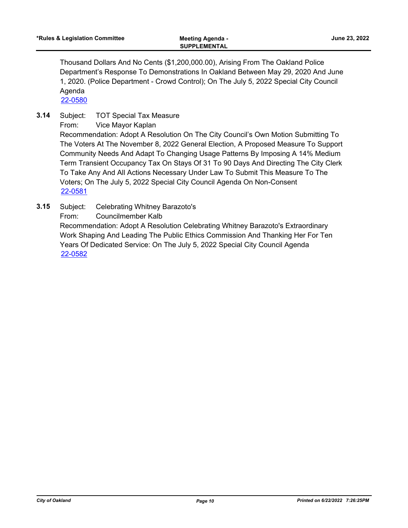Thousand Dollars And No Cents (\$1,200,000.00), Arising From The Oakland Police Department's Response To Demonstrations In Oakland Between May 29, 2020 And June 1, 2020. (Police Department - Crowd Control); On The July 5, 2022 Special City Council Agenda

[22-0580](http://oakland.legistar.com/gateway.aspx?m=l&id=/matter.aspx?key=33500)

Subject: TOT Special Tax Measure **3.14**

From: Vice Mayor Kaplan

Recommendation: Adopt A Resolution On The City Council's Own Motion Submitting To The Voters At The November 8, 2022 General Election, A Proposed Measure To Support Community Needs And Adapt To Changing Usage Patterns By Imposing A 14% Medium Term Transient Occupancy Tax On Stays Of 31 To 90 Days And Directing The City Clerk To Take Any And All Actions Necessary Under Law To Submit This Measure To The Voters; On The July 5, 2022 Special City Council Agenda On Non-Consent [22-0581](http://oakland.legistar.com/gateway.aspx?m=l&id=/matter.aspx?key=33501)

Subject: Celebrating Whitney Barazoto's From: Councilmember Kalb Recommendation: Adopt A Resolution Celebrating Whitney Barazoto's Extraordinary Work Shaping And Leading The Public Ethics Commission And Thanking Her For Ten Years Of Dedicated Service: On The July 5, 2022 Special City Council Agenda **3.15** [22-0582](http://oakland.legistar.com/gateway.aspx?m=l&id=/matter.aspx?key=33502)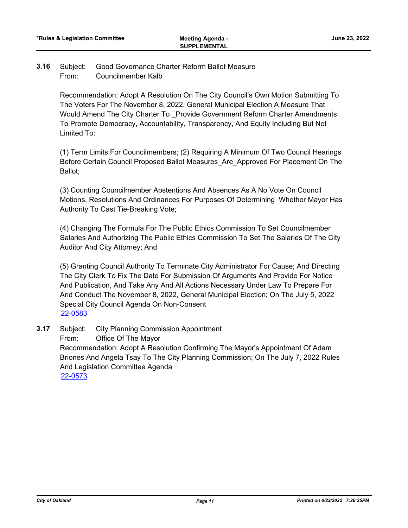#### Subject: Good Governance Charter Reform Ballot Measure From: Councilmember Kalb **3.16**

Recommendation: Adopt A Resolution On The City Council's Own Motion Submitting To The Voters For The November 8, 2022, General Municipal Election A Measure That Would Amend The City Charter To \_Provide Government Reform Charter Amendments To Promote Democracy, Accountability, Transparency, And Equity Including But Not Limited To:

(1) Term Limits For Councilmembers; (2) Requiring A Minimum Of Two Council Hearings Before Certain Council Proposed Ballot Measures\_Are\_Approved For Placement On The Ballot;

(3) Counting Councilmember Abstentions And Absences As A No Vote On Council Motions, Resolutions And Ordinances For Purposes Of Determining Whether Mayor Has Authority To Cast Tie-Breaking Vote;

(4) Changing The Formula For The Public Ethics Commission To Set Councilmember Salaries And Authorizing The Public Ethics Commission To Set The Salaries Of The City Auditor And City Attorney; And

(5) Granting Council Authority To Terminate City Administrator For Cause; And Directing The City Clerk To Fix The Date For Submission Of Arguments And Provide For Notice And Publication, And Take Any And All Actions Necessary Under Law To Prepare For And Conduct The November 8, 2022, General Municipal Election; On The July 5, 2022 Special City Council Agenda On Non-Consent [22-0583](http://oakland.legistar.com/gateway.aspx?m=l&id=/matter.aspx?key=33503)

Subject: City Planning Commission Appointment From: Office Of The Mayor Recommendation: Adopt A Resolution Confirming The Mayor's Appointment Of Adam Briones And Angela Tsay To The City Planning Commission; On The July 7, 2022 Rules And Legislation Committee Agenda **3.17** [22-0573](http://oakland.legistar.com/gateway.aspx?m=l&id=/matter.aspx?key=33493)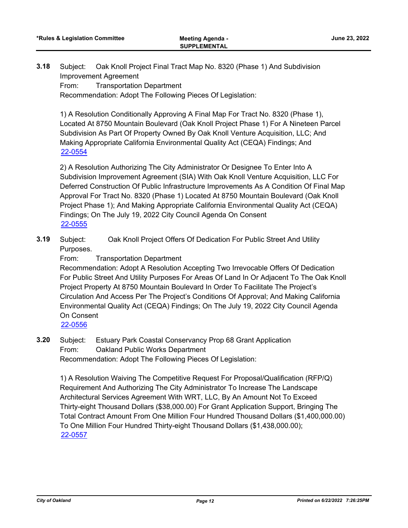Subject: Oak Knoll Project Final Tract Map No. 8320 (Phase 1) And Subdivision Improvement Agreement From: Transportation Department **3.18**

Recommendation: Adopt The Following Pieces Of Legislation:

1) A Resolution Conditionally Approving A Final Map For Tract No. 8320 (Phase 1), Located At 8750 Mountain Boulevard (Oak Knoll Project Phase 1) For A Nineteen Parcel Subdivision As Part Of Property Owned By Oak Knoll Venture Acquisition, LLC; And Making Appropriate California Environmental Quality Act (CEQA) Findings; And [22-0554](http://oakland.legistar.com/gateway.aspx?m=l&id=/matter.aspx?key=33474)

2) A Resolution Authorizing The City Administrator Or Designee To Enter Into A Subdivision Improvement Agreement (SIA) With Oak Knoll Venture Acquisition, LLC For Deferred Construction Of Public Infrastructure Improvements As A Condition Of Final Map Approval For Tract No. 8320 (Phase 1) Located At 8750 Mountain Boulevard (Oak Knoll Project Phase 1); And Making Appropriate California Environmental Quality Act (CEQA) Findings; On The July 19, 2022 City Council Agenda On Consent [22-0555](http://oakland.legistar.com/gateway.aspx?m=l&id=/matter.aspx?key=33475)

Subject: Oak Knoll Project Offers Of Dedication For Public Street And Utility Purposes. **3.19**

From: Transportation Department

Recommendation: Adopt A Resolution Accepting Two Irrevocable Offers Of Dedication For Public Street And Utility Purposes For Areas Of Land In Or Adjacent To The Oak Knoll Project Property At 8750 Mountain Boulevard In Order To Facilitate The Project's Circulation And Access Per The Project's Conditions Of Approval; And Making California Environmental Quality Act (CEQA) Findings; On The July 19, 2022 City Council Agenda On Consent

[22-0556](http://oakland.legistar.com/gateway.aspx?m=l&id=/matter.aspx?key=33476)

Subject: Estuary Park Coastal Conservancy Prop 68 Grant Application From: Oakland Public Works Department Recommendation: Adopt The Following Pieces Of Legislation: **3.20**

1) A Resolution Waiving The Competitive Request For Proposal/Qualification (RFP/Q) Requirement And Authorizing The City Administrator To Increase The Landscape Architectural Services Agreement With WRT, LLC, By An Amount Not To Exceed Thirty-eight Thousand Dollars (\$38,000.00) For Grant Application Support, Bringing The Total Contract Amount From One Million Four Hundred Thousand Dollars (\$1,400,000.00) To One Million Four Hundred Thirty-eight Thousand Dollars (\$1,438,000.00); [22-0557](http://oakland.legistar.com/gateway.aspx?m=l&id=/matter.aspx?key=33477)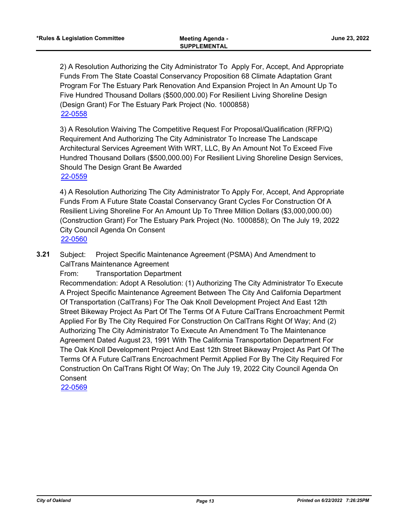2) A Resolution Authorizing the City Administrator To Apply For, Accept, And Appropriate Funds From The State Coastal Conservancy Proposition 68 Climate Adaptation Grant Program For The Estuary Park Renovation And Expansion Project In An Amount Up To Five Hundred Thousand Dollars (\$500,000.00) For Resilient Living Shoreline Design (Design Grant) For The Estuary Park Project (No. 1000858) [22-0558](http://oakland.legistar.com/gateway.aspx?m=l&id=/matter.aspx?key=33478)

3) A Resolution Waiving The Competitive Request For Proposal/Qualification (RFP/Q) Requirement And Authorizing The City Administrator To Increase The Landscape Architectural Services Agreement With WRT, LLC, By An Amount Not To Exceed Five Hundred Thousand Dollars (\$500,000.00) For Resilient Living Shoreline Design Services, Should The Design Grant Be Awarded [22-0559](http://oakland.legistar.com/gateway.aspx?m=l&id=/matter.aspx?key=33479)

4) A Resolution Authorizing The City Administrator To Apply For, Accept, And Appropriate Funds From A Future State Coastal Conservancy Grant Cycles For Construction Of A Resilient Living Shoreline For An Amount Up To Three Million Dollars (\$3,000,000.00) (Construction Grant) For The Estuary Park Project (No. 1000858); On The July 19, 2022 City Council Agenda On Consent [22-0560](http://oakland.legistar.com/gateway.aspx?m=l&id=/matter.aspx?key=33480)

Subject: Project Specific Maintenance Agreement (PSMA) And Amendment to CalTrans Maintenance Agreement **3.21**

From: Transportation Department

Recommendation: Adopt A Resolution: (1) Authorizing The City Administrator To Execute A Project Specific Maintenance Agreement Between The City And California Department Of Transportation (CalTrans) For The Oak Knoll Development Project And East 12th Street Bikeway Project As Part Of The Terms Of A Future CalTrans Encroachment Permit Applied For By The City Required For Construction On CalTrans Right Of Way; And (2) Authorizing The City Administrator To Execute An Amendment To The Maintenance Agreement Dated August 23, 1991 With The California Transportation Department For The Oak Knoll Development Project And East 12th Street Bikeway Project As Part Of The Terms Of A Future CalTrans Encroachment Permit Applied For By The City Required For Construction On CalTrans Right Of Way; On The July 19, 2022 City Council Agenda On **Consent** 

[22-0569](http://oakland.legistar.com/gateway.aspx?m=l&id=/matter.aspx?key=33489)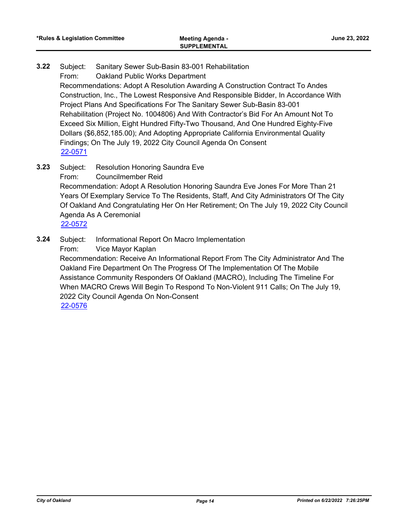- Subject: Sanitary Sewer Sub-Basin 83-001 Rehabilitation From: Oakland Public Works Department Recommendations: Adopt A Resolution Awarding A Construction Contract To Andes Construction, Inc., The Lowest Responsive And Responsible Bidder, In Accordance With Project Plans And Specifications For The Sanitary Sewer Sub-Basin 83-001 Rehabilitation (Project No. 1004806) And With Contractor's Bid For An Amount Not To Exceed Six Million, Eight Hundred Fifty-Two Thousand, And One Hundred Eighty-Five Dollars (\$6,852,185.00); And Adopting Appropriate California Environmental Quality Findings; On The July 19, 2022 City Council Agenda On Consent **3.22** [22-0571](http://oakland.legistar.com/gateway.aspx?m=l&id=/matter.aspx?key=33491)
- Subject: Resolution Honoring Saundra Eve From: Councilmember Reid Recommendation: Adopt A Resolution Honoring Saundra Eve Jones For More Than 21 Years Of Exemplary Service To The Residents, Staff, And City Administrators Of The City Of Oakland And Congratulating Her On Her Retirement; On The July 19, 2022 City Council Agenda As A Ceremonial **3.23** [22-0572](http://oakland.legistar.com/gateway.aspx?m=l&id=/matter.aspx?key=33492)
- Subject: Informational Report On Macro Implementation **3.24**
	- From: Vice Mayor Kaplan

Recommendation: Receive An Informational Report From The City Administrator And The Oakland Fire Department On The Progress Of The Implementation Of The Mobile Assistance Community Responders Of Oakland (MACRO), Including The Timeline For When MACRO Crews Will Begin To Respond To Non-Violent 911 Calls; On The July 19, 2022 City Council Agenda On Non-Consent [22-0576](http://oakland.legistar.com/gateway.aspx?m=l&id=/matter.aspx?key=33496)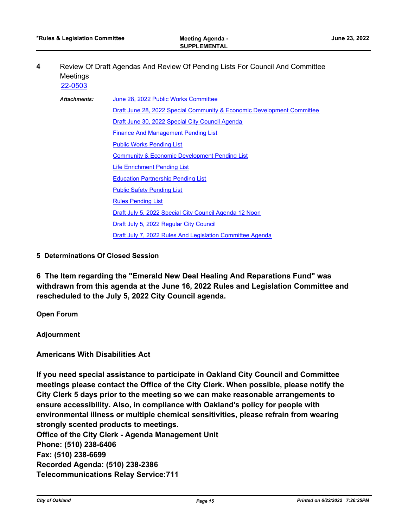Review Of Draft Agendas And Review Of Pending Lists For Council And Committee Meetings **4** [22-0503](http://oakland.legistar.com/gateway.aspx?m=l&id=/matter.aspx?key=33423)

| <b>Attachments:</b> | June 28, 2022 Public Works Committee                                                                                                                                              |  |
|---------------------|-----------------------------------------------------------------------------------------------------------------------------------------------------------------------------------|--|
|                     | Draft June 28, 2022 Special Community & Economic Development Committee                                                                                                            |  |
|                     | Draft June 30, 2022 Special City Council Agenda                                                                                                                                   |  |
|                     | <b>Finance And Management Pending List</b><br><b>Public Works Pending List</b><br><b>Community &amp; Economic Development Pending List</b><br><b>Life Enrichment Pending List</b> |  |
|                     |                                                                                                                                                                                   |  |
|                     |                                                                                                                                                                                   |  |
|                     |                                                                                                                                                                                   |  |
|                     | <b>Education Partnership Pending List</b>                                                                                                                                         |  |
|                     | <b>Public Safety Pending List</b>                                                                                                                                                 |  |
|                     | <b>Rules Pending List</b>                                                                                                                                                         |  |
|                     | Draft July 5, 2022 Special City Council Agenda 12 Noon                                                                                                                            |  |
|                     | Draft July 5, 2022 Regular City Council                                                                                                                                           |  |
|                     | Draft July 7, 2022 Rules And Legislation Committee Agenda                                                                                                                         |  |

**5 Determinations Of Closed Session**

**6 The Item regarding the "Emerald New Deal Healing And Reparations Fund" was withdrawn from this agenda at the June 16, 2022 Rules and Legislation Committee and rescheduled to the July 5, 2022 City Council agenda.**

**Open Forum**

**Adjournment**

## **Americans With Disabilities Act**

**If you need special assistance to participate in Oakland City Council and Committee meetings please contact the Office of the City Clerk. When possible, please notify the City Clerk 5 days prior to the meeting so we can make reasonable arrangements to ensure accessibility. Also, in compliance with Oakland's policy for people with environmental illness or multiple chemical sensitivities, please refrain from wearing strongly scented products to meetings. Office of the City Clerk - Agenda Management Unit Phone: (510) 238-6406 Fax: (510) 238-6699 Recorded Agenda: (510) 238-2386**

**Telecommunications Relay Service:711**